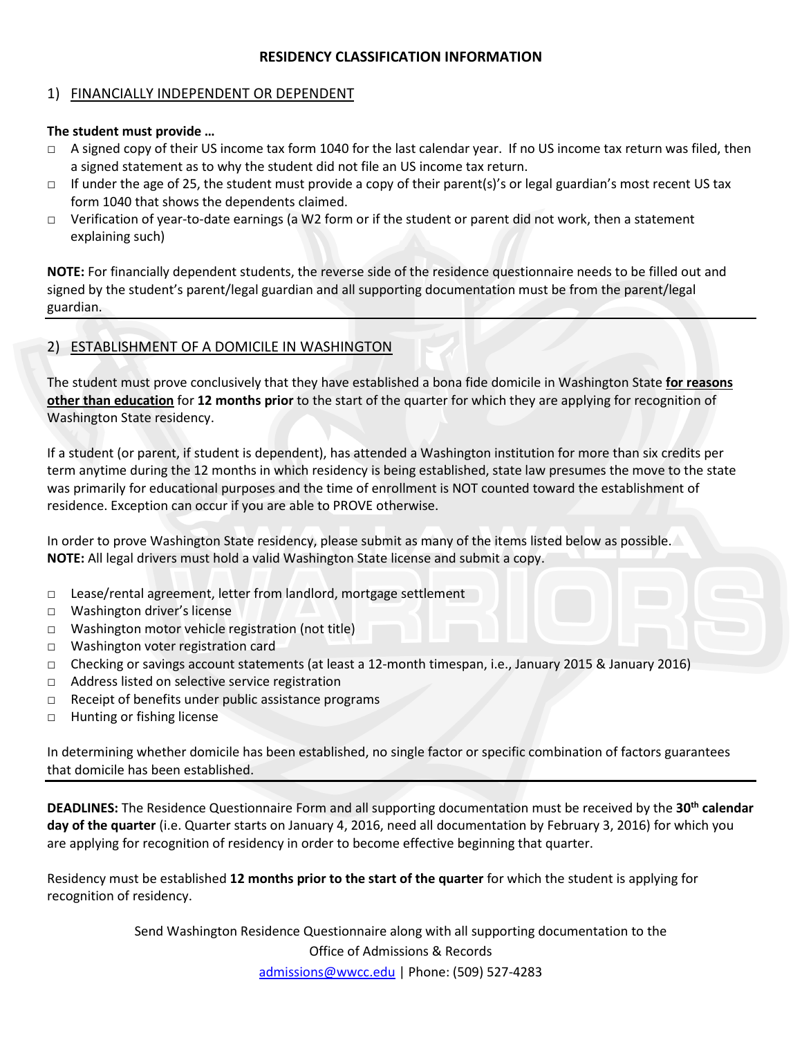# **RESIDENCY CLASSIFICATION INFORMATION**

## 1) FINANCIALLY INDEPENDENT OR DEPENDENT

#### **The student must provide …**

- $\Box$  A signed copy of their US income tax form 1040 for the last calendar year. If no US income tax return was filed, then a signed statement as to why the student did not file an US income tax return.
- $\Box$  If under the age of 25, the student must provide a copy of their parent(s)'s or legal guardian's most recent US tax form 1040 that shows the dependents claimed.
- □ Verification of year-to-date earnings (a W2 form or if the student or parent did not work, then a statement explaining such)

**NOTE:** For financially dependent students, the reverse side of the residence questionnaire needs to be filled out and signed by the student's parent/legal guardian and all supporting documentation must be from the parent/legal guardian.

### 2) ESTABLISHMENT OF A DOMICILE IN WASHINGTON

The student must prove conclusively that they have established a bona fide domicile in Washington State **for reasons other than education** for **12 months prior** to the start of the quarter for which they are applying for recognition of Washington State residency.

If a student (or parent, if student is dependent), has attended a Washington institution for more than six credits per term anytime during the 12 months in which residency is being established, state law presumes the move to the state was primarily for educational purposes and the time of enrollment is NOT counted toward the establishment of residence. Exception can occur if you are able to PROVE otherwise.

In order to prove Washington State residency, please submit as many of the items listed below as possible. **NOTE:** All legal drivers must hold a valid Washington State license and submit a copy.

- □ Lease/rental agreement, letter from landlord, mortgage settlement
- □ Washington driver's license
- □ Washington motor vehicle registration (not title)
- □ Washington voter registration card
- □ Checking or savings account statements (at least a 12-month timespan, i.e., January 2015 & January 2016)
- □ Address listed on selective service registration
- □ Receipt of benefits under public assistance programs
- □ Hunting or fishing license

In determining whether domicile has been established, no single factor or specific combination of factors guarantees that domicile has been established.

**DEADLINES:** The Residence Questionnaire Form and all supporting documentation must be received by the **30th calendar day of the quarter** (i.e. Quarter starts on January 4, 2016, need all documentation by February 3, 2016) for which you are applying for recognition of residency in order to become effective beginning that quarter.

Residency must be established **12 months prior to the start of the quarter** for which the student is applying for recognition of residency.

> Send Washington Residence Questionnaire along with all supporting documentation to the Office of Admissions & Records [admissions@wwcc.edu](mailto:admissions@wwcc.edu) | Phone: (509) 527-4283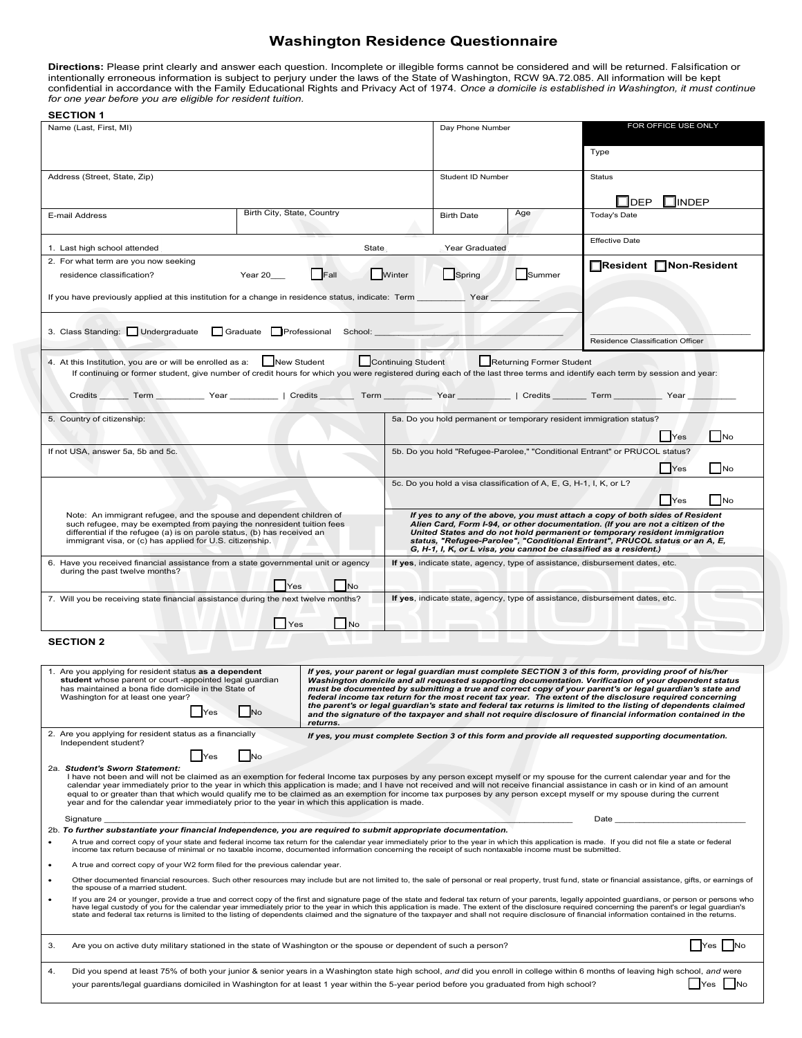#### **Washington Residence Questionnaire**

Directions: Please print clearly and answer each question. Incomplete or illegible forms cannot be considered and will be returned. Falsification or<br>intentionally erroneous information is subject to perjury under the laws

**SECTION 1** 

| ו וטווטבט<br>Name (Last, First, MI)                                                                                                                                                                                                                                                                                                                                                                                                                                                                                                                                                                                                                                                                                                                                                                                                                                                                   | Day Phone Number           |                                                                                                                                                              | FOR OFFICE USE ONLY                                                                              |                       |                                                                                                      |  |  |  |  |  |
|-------------------------------------------------------------------------------------------------------------------------------------------------------------------------------------------------------------------------------------------------------------------------------------------------------------------------------------------------------------------------------------------------------------------------------------------------------------------------------------------------------------------------------------------------------------------------------------------------------------------------------------------------------------------------------------------------------------------------------------------------------------------------------------------------------------------------------------------------------------------------------------------------------|----------------------------|--------------------------------------------------------------------------------------------------------------------------------------------------------------|--------------------------------------------------------------------------------------------------|-----------------------|------------------------------------------------------------------------------------------------------|--|--|--|--|--|
|                                                                                                                                                                                                                                                                                                                                                                                                                                                                                                                                                                                                                                                                                                                                                                                                                                                                                                       |                            |                                                                                                                                                              |                                                                                                  |                       | Type                                                                                                 |  |  |  |  |  |
| Address (Street, State, Zip)                                                                                                                                                                                                                                                                                                                                                                                                                                                                                                                                                                                                                                                                                                                                                                                                                                                                          |                            |                                                                                                                                                              | Student ID Number                                                                                |                       | <b>Status</b>                                                                                        |  |  |  |  |  |
| E-mail Address                                                                                                                                                                                                                                                                                                                                                                                                                                                                                                                                                                                                                                                                                                                                                                                                                                                                                        | Birth City, State, Country |                                                                                                                                                              | <b>Birth Date</b>                                                                                | Age                   | _lDEP<br><b>JINDEP</b><br><b>Today's Date</b>                                                        |  |  |  |  |  |
| 1. Last high school attended                                                                                                                                                                                                                                                                                                                                                                                                                                                                                                                                                                                                                                                                                                                                                                                                                                                                          | State                      |                                                                                                                                                              |                                                                                                  |                       | <b>Effective Date</b>                                                                                |  |  |  |  |  |
| 2. For what term are you now seeking                                                                                                                                                                                                                                                                                                                                                                                                                                                                                                                                                                                                                                                                                                                                                                                                                                                                  | Winter                     | Spring                                                                                                                                                       | Summer                                                                                           | Resident Non-Resident |                                                                                                      |  |  |  |  |  |
| residence classification?                                                                                                                                                                                                                                                                                                                                                                                                                                                                                                                                                                                                                                                                                                                                                                                                                                                                             |                            |                                                                                                                                                              |                                                                                                  |                       |                                                                                                      |  |  |  |  |  |
| If you have previously applied at this institution for a change in residence status, indicate: Term ___________ Year                                                                                                                                                                                                                                                                                                                                                                                                                                                                                                                                                                                                                                                                                                                                                                                  |                            |                                                                                                                                                              |                                                                                                  |                       |                                                                                                      |  |  |  |  |  |
|                                                                                                                                                                                                                                                                                                                                                                                                                                                                                                                                                                                                                                                                                                                                                                                                                                                                                                       |                            |                                                                                                                                                              |                                                                                                  |                       |                                                                                                      |  |  |  |  |  |
| 3. Class Standing: Undergraduate Graduate Professional School: _________                                                                                                                                                                                                                                                                                                                                                                                                                                                                                                                                                                                                                                                                                                                                                                                                                              |                            |                                                                                                                                                              |                                                                                                  |                       | Residence Classification Officer                                                                     |  |  |  |  |  |
| Continuing Student<br>4. At this Institution, you are or will be enrolled as a: New Student<br>Returning Former Student<br>If continuing or former student, give number of credit hours for which you were registered during each of the last three terms and identify each term by session and year:<br>Credits Term Term Year Year   Credits Term   Term Year   Credits   Term   Term   Term   Year   Year                                                                                                                                                                                                                                                                                                                                                                                                                                                                                          |                            |                                                                                                                                                              |                                                                                                  |                       |                                                                                                      |  |  |  |  |  |
|                                                                                                                                                                                                                                                                                                                                                                                                                                                                                                                                                                                                                                                                                                                                                                                                                                                                                                       |                            |                                                                                                                                                              |                                                                                                  |                       |                                                                                                      |  |  |  |  |  |
| 5. Country of citizenship:                                                                                                                                                                                                                                                                                                                                                                                                                                                                                                                                                                                                                                                                                                                                                                                                                                                                            |                            |                                                                                                                                                              | 5a. Do you hold permanent or temporary resident immigration status?<br>$\vert$ No<br>Yes         |                       |                                                                                                      |  |  |  |  |  |
| If not USA, answer 5a, 5b and 5c.                                                                                                                                                                                                                                                                                                                                                                                                                                                                                                                                                                                                                                                                                                                                                                                                                                                                     |                            | 5b. Do you hold "Refugee-Parolee," "Conditional Entrant" or PRUCOL status?                                                                                   |                                                                                                  |                       |                                                                                                      |  |  |  |  |  |
|                                                                                                                                                                                                                                                                                                                                                                                                                                                                                                                                                                                                                                                                                                                                                                                                                                                                                                       |                            |                                                                                                                                                              |                                                                                                  |                       | No<br>Yes                                                                                            |  |  |  |  |  |
|                                                                                                                                                                                                                                                                                                                                                                                                                                                                                                                                                                                                                                                                                                                                                                                                                                                                                                       |                            |                                                                                                                                                              | 5c. Do you hold a visa classification of A, E, G, H-1, I, K, or L?                               |                       |                                                                                                      |  |  |  |  |  |
| Note: An immigrant refugee, and the spouse and dependent children of                                                                                                                                                                                                                                                                                                                                                                                                                                                                                                                                                                                                                                                                                                                                                                                                                                  |                            |                                                                                                                                                              | No<br><b>Yes</b><br>If yes to any of the above, you must attach a copy of both sides of Resident |                       |                                                                                                      |  |  |  |  |  |
| such refugee, may be exempted from paying the nonresident tuition fees<br>differential if the refugee (a) is on parole status, (b) has received an                                                                                                                                                                                                                                                                                                                                                                                                                                                                                                                                                                                                                                                                                                                                                    |                            | Alien Card, Form I-94, or other documentation. (If you are not a citizen of the<br>United States and do not hold permanent or temporary resident immigration |                                                                                                  |                       |                                                                                                      |  |  |  |  |  |
| immigrant visa, or (c) has applied for U.S. citizenship.                                                                                                                                                                                                                                                                                                                                                                                                                                                                                                                                                                                                                                                                                                                                                                                                                                              |                            | status, "Refugee-Parolee", "Conditional Entrant", PRUCOL status or an A, E,<br>G, H-1, I, K, or L visa, you cannot be classified as a resident.)             |                                                                                                  |                       |                                                                                                      |  |  |  |  |  |
| 6. Have you received financial assistance from a state governmental unit or agency<br>during the past twelve months?                                                                                                                                                                                                                                                                                                                                                                                                                                                                                                                                                                                                                                                                                                                                                                                  |                            | If yes, indicate state, agency, type of assistance, disbursement dates, etc.                                                                                 |                                                                                                  |                       |                                                                                                      |  |  |  |  |  |
|                                                                                                                                                                                                                                                                                                                                                                                                                                                                                                                                                                                                                                                                                                                                                                                                                                                                                                       | <b>No</b>                  |                                                                                                                                                              |                                                                                                  |                       |                                                                                                      |  |  |  |  |  |
| If yes, indicate state, agency, type of assistance, disbursement dates, etc.<br>7. Will you be receiving state financial assistance during the next twelve months?                                                                                                                                                                                                                                                                                                                                                                                                                                                                                                                                                                                                                                                                                                                                    |                            |                                                                                                                                                              |                                                                                                  |                       |                                                                                                      |  |  |  |  |  |
| Yes<br>No.                                                                                                                                                                                                                                                                                                                                                                                                                                                                                                                                                                                                                                                                                                                                                                                                                                                                                            |                            |                                                                                                                                                              |                                                                                                  |                       |                                                                                                      |  |  |  |  |  |
| <b>SECTION 2</b>                                                                                                                                                                                                                                                                                                                                                                                                                                                                                                                                                                                                                                                                                                                                                                                                                                                                                      |                            |                                                                                                                                                              |                                                                                                  |                       |                                                                                                      |  |  |  |  |  |
| 1. Are you applying for resident status as a dependent<br>If yes, your parent or legal guardian must complete SECTION 3 of this form, providing proof of his/her<br>student whose parent or court -appointed legal guardian<br>Washington domicile and all requested supporting documentation. Verification of your dependent status<br>has maintained a bona fide domicile in the State of<br>must be documented by submitting a true and correct copy of your parent's or legal guardian's state and<br>federal income tax return for the most recent tax year. The extent of the disclosure required concerning<br>Washington for at least one year?<br>the parent's or legal guardian's state and federal tax returns is limited to the listing of dependents claimed<br>and the signature of the taxpayer and shall not require disclosure of financial information contained in the<br>returns. |                            |                                                                                                                                                              |                                                                                                  |                       |                                                                                                      |  |  |  |  |  |
| 2. Are you applying for resident status as a financially<br>Independent student?                                                                                                                                                                                                                                                                                                                                                                                                                                                                                                                                                                                                                                                                                                                                                                                                                      |                            |                                                                                                                                                              |                                                                                                  |                       | If yes, you must complete Section 3 of this form and provide all requested supporting documentation. |  |  |  |  |  |
| <b>No</b><br>  Yes                                                                                                                                                                                                                                                                                                                                                                                                                                                                                                                                                                                                                                                                                                                                                                                                                                                                                    |                            |                                                                                                                                                              |                                                                                                  |                       |                                                                                                      |  |  |  |  |  |
| 2a. Student's Sworn Statement:<br>I have not been and will not be claimed as an exemption for federal Income tax purposes by any person except myself or my spouse for the current calendar year and for the<br>calendar year immediately prior to the year in which this application is made; and I have not received and will not receive financial assistance in cash or in kind of an amount<br>equal to or greater than that which would qualify me to be claimed as an exemption for income tax purposes by any person except myself or my spouse during the current<br>year and for the calendar year immediately prior to the year in which this application is made.                                                                                                                                                                                                                         |                            |                                                                                                                                                              |                                                                                                  |                       |                                                                                                      |  |  |  |  |  |
| Signature<br>Date                                                                                                                                                                                                                                                                                                                                                                                                                                                                                                                                                                                                                                                                                                                                                                                                                                                                                     |                            |                                                                                                                                                              |                                                                                                  |                       |                                                                                                      |  |  |  |  |  |
| 2b. To further substantiate your financial Independence, you are required to submit appropriate documentation.<br>A true and correct copy of your state and federal income tax return for the calendar year immediately prior to the year in which this application is made. If you did not file a state or federal                                                                                                                                                                                                                                                                                                                                                                                                                                                                                                                                                                                   |                            |                                                                                                                                                              |                                                                                                  |                       |                                                                                                      |  |  |  |  |  |
| income tax return because of minimal or no taxable income, documented information concerning the receipt of such nontaxable income must be submitted.<br>A true and correct copy of your W2 form filed for the previous calendar year.<br>٠                                                                                                                                                                                                                                                                                                                                                                                                                                                                                                                                                                                                                                                           |                            |                                                                                                                                                              |                                                                                                  |                       |                                                                                                      |  |  |  |  |  |
| Other documented financial resources. Such other resources may include but are not limited to, the sale of personal or real property, trust fund, state or financial assistance, gifts, or earnings of<br>$\bullet$                                                                                                                                                                                                                                                                                                                                                                                                                                                                                                                                                                                                                                                                                   |                            |                                                                                                                                                              |                                                                                                  |                       |                                                                                                      |  |  |  |  |  |
| the spouse of a married student.<br>If you are 24 or younger, provide a true and correct copy of the first and signature page of the state and federal tax return of your parents, legally appointed guardians, or person or persons who<br>٠<br>have legal custody of you for the calendar year immediately prior to the year in which this application is made. The extent of the disclosure required concerning the parent's or legal guardian's<br>state and federal tax returns is limited to the listing of dependents claimed and the signature of the taxpayer and shall not require disclosure of financial information contained in the returns.                                                                                                                                                                                                                                            |                            |                                                                                                                                                              |                                                                                                  |                       |                                                                                                      |  |  |  |  |  |
| Are you on active duty military stationed in the state of Washington or the spouse or dependent of such a person?<br>3.                                                                                                                                                                                                                                                                                                                                                                                                                                                                                                                                                                                                                                                                                                                                                                               |                            |                                                                                                                                                              | <b>No</b><br>res                                                                                 |                       |                                                                                                      |  |  |  |  |  |
| Did you spend at least 75% of both your junior & senior years in a Washington state high school, and did you enroll in college within 6 months of leaving high school, and were<br>4.<br>$\blacksquare$<br>your parents/legal guardians domiciled in Washington for at least 1 year within the 5-year period before you graduated from high school?<br><b>Yes</b>                                                                                                                                                                                                                                                                                                                                                                                                                                                                                                                                     |                            |                                                                                                                                                              |                                                                                                  |                       |                                                                                                      |  |  |  |  |  |